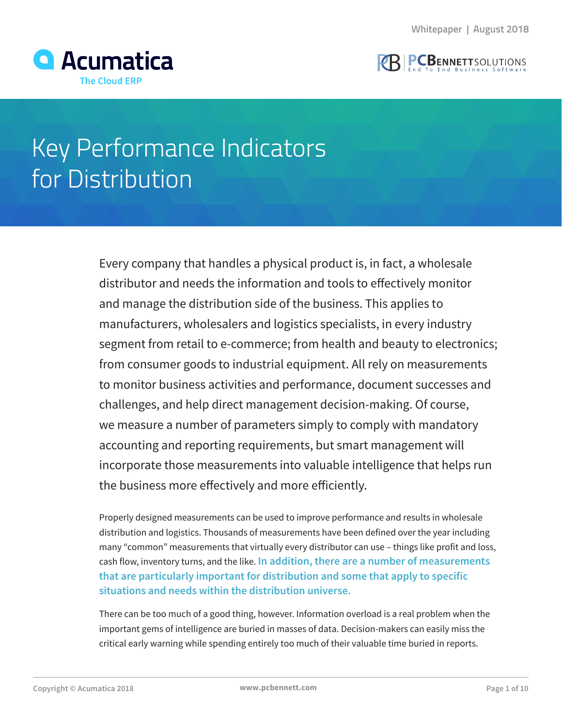



# Key Performance Indicators for Distribution

Every company that handles a physical product is, in fact, a wholesale distributor and needs the information and tools to effectively monitor and manage the distribution side of the business. This applies to manufacturers, wholesalers and logistics specialists, in every industry segment from retail to e-commerce; from health and beauty to electronics; from consumer goods to industrial equipment. All rely on measurements to monitor business activities and performance, document successes and challenges, and help direct management decision-making. Of course, we measure a number of parameters simply to comply with mandatory accounting and reporting requirements, but smart management will incorporate those measurements into valuable intelligence that helps run the business more effectively and more efficiently.

Properly designed measurements can be used to improve performance and results in wholesale distribution and logistics. Thousands of measurements have been defined over the year including many "common" measurements that virtually every distributor can use – things like profit and loss, cash flow, inventory turns, and the like. **In addition, there are a number of measurements that are particularly important for distribution and some that apply to specific situations and needs within the distribution universe.**

There can be too much of a good thing, however. Information overload is a real problem when the important gems of intelligence are buried in masses of data. Decision-makers can easily miss the critical early warning while spending entirely too much of their valuable time buried in reports.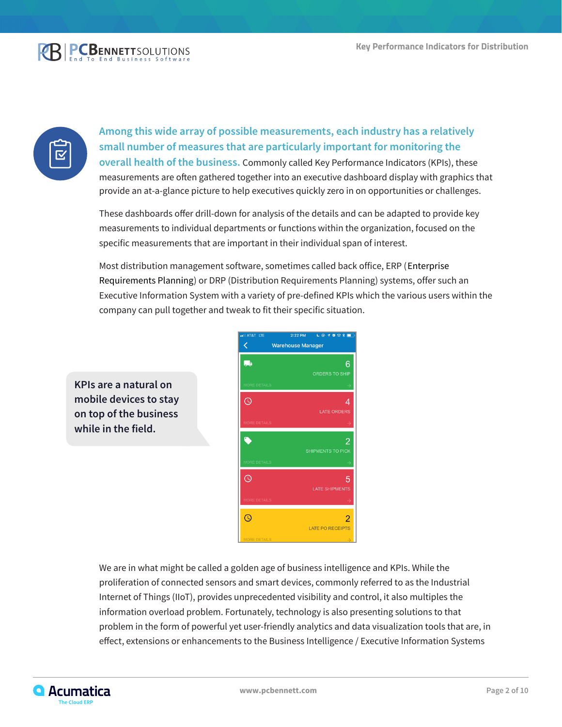



**Among this wide array of possible measurements, each industry has a relatively small number of measures that are particularly important for monitoring the overall health of the business.** Commonly called Key Performance Indicators (KPIs), these measurements are often gathered together into an executive dashboard display with graphics that provide an at-a-glance picture to help executives quickly zero in on opportunities or challenges.

These dashboards offer drill-down for analysis of the details and can be adapted to provide key measurements to individual departments or functions within the organization, focused on the specific measurements that are important in their individual span of interest.

Most distribution management software, sometimes called back office, ERP (Enterprise Requirements Planning) or DRP (Distribution Requirements Planning) systems, offer such an Executive Information System with a variety of pre-defined KPIs which the various users within the company can pull together and tweak to fit their specific situation.

**KPIs are a natural on mobile devices to stay on top of the business while in the field.**



We are in what might be called a golden age of business intelligence and KPIs. While the proliferation of connected sensors and smart devices, commonly referred to as the Industrial Internet of Things (IIoT), provides unprecedented visibility and control, it also multiples the information overload problem. Fortunately, technology is also presenting solutions to that problem in the form of powerful yet user-friendly analytics and data visualization tools that are, in effect, extensions or enhancements to the Business Intelligence / Executive Information Systems

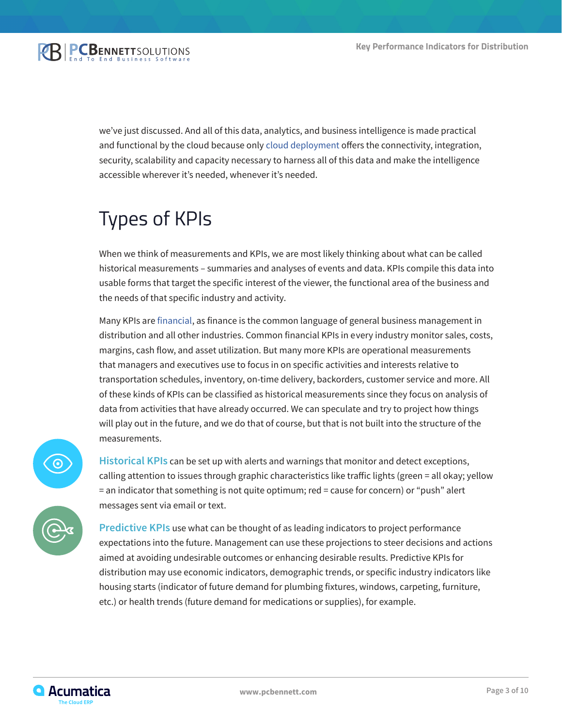

we've just discussed. And all of this data, analytics, and business intelligence is made practical and functional by the cloud because only [cloud deployment](https://www.pcbennett.com/acumatica-erp/) offers the connectivity, integration, security, scalability and capacity necessary to harness all of this data and make the intelligence accessible wherever it's needed, whenever it's needed.

## Types of KPIs

When we think of measurements and KPIs, we are most likely thinking about what can be called historical measurements – summaries and analyses of events and data. KPIs compile this data into usable forms that target the specific interest of the viewer, the functional area of the business and the needs of that specific industry and activity.

Many KPIs are [financial](https://www.pcbennett.com/acumatica-erp/products/financial-management/), as finance is the common language of general business management in distribution and all other industries. Common financial KPIs in every industry monitor sales, costs, margins, cash flow, and asset utilization. But many more KPIs are operational measurements that managers and executives use to focus in on specific activities and interests relative to transportation schedules, inventory, on-time delivery, backorders, customer service and more. All of these kinds of KPIs can be classified as historical measurements since they focus on analysis of data from activities that have already occurred. We can speculate and try to project how things will play out in the future, and we do that of course, but that is not built into the structure of the measurements.



**Historical KPIs** can be set up with alerts and warnings that monitor and detect exceptions, calling attention to issues through graphic characteristics like traffic lights (green = all okay; yellow = an indicator that something is not quite optimum; red = cause for concern) or "push" alert messages sent via email or text.

**Predictive KPIs** use what can be thought of as leading indicators to project performance expectations into the future. Management can use these projections to steer decisions and actions aimed at avoiding undesirable outcomes or enhancing desirable results. Predictive KPIs for distribution may use economic indicators, demographic trends, or specific industry indicators like housing starts (indicator of future demand for plumbing fixtures, windows, carpeting, furniture, etc.) or health trends (future demand for medications or supplies), for example.

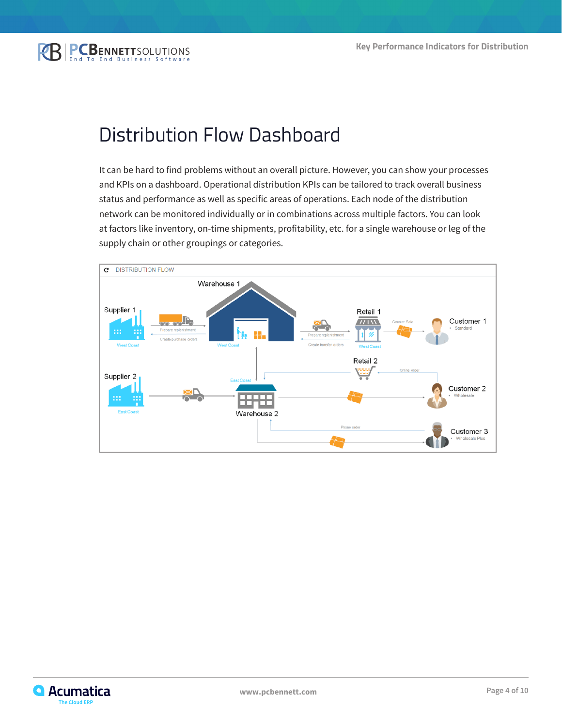### Distribution Flow Dashboard

It can be hard to find problems without an overall picture. However, you can show your processes and KPIs on a dashboard. Operational distribution KPIs can be tailored to track overall business status and performance as well as specific areas of operations. Each node of the distribution network can be monitored individually or in combinations across multiple factors. You can look at factors like inventory, on-time shipments, profitability, etc. for a single warehouse or leg of the supply chain or other groupings or categories.



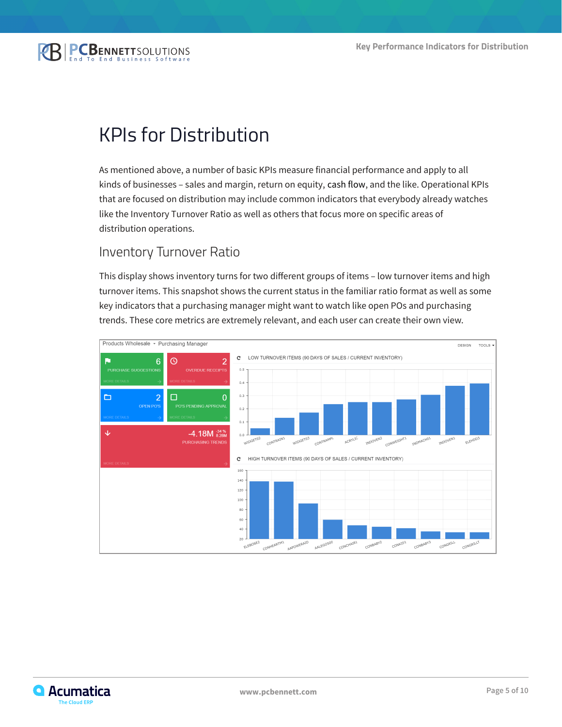

### KPIs for Distribution

As mentioned above, a number of basic KPIs measure financial performance and apply to all kinds of businesses – sales and margin, return on equity, cash flow, and the like. Operational KPIs that are focused on distribution may include common indicators that everybody already watches like the Inventory Turnover Ratio as well as others that focus more on specific areas of distribution operations.

#### Inventory Turnover Ratio

This display shows inventory turns for two different groups of items – low turnover items and high turnover items. This snapshot shows the current status in the familiar ratio format as well as some key indicators that a purchasing manager might want to watch like open POs and purchasing trends. These core metrics are extremely relevant, and each user can create their own view.



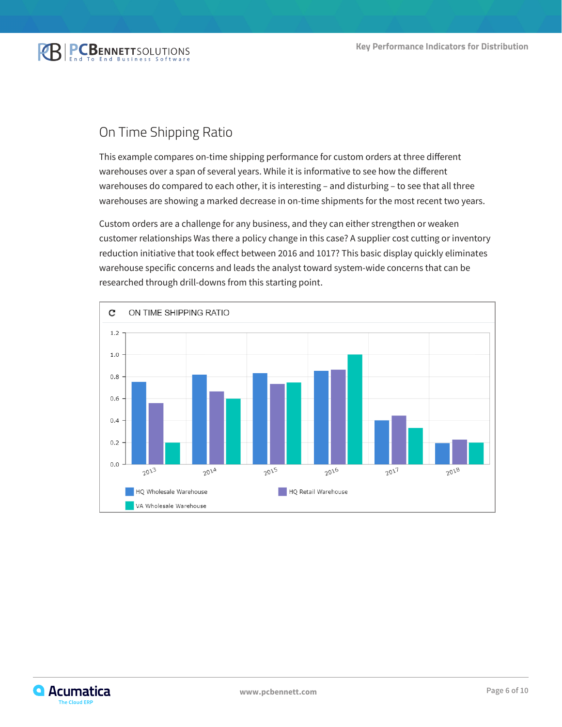

#### On Time Shipping Ratio

This example compares on-time shipping performance for custom orders at three different warehouses over a span of several years. While it is informative to see how the different warehouses do compared to each other, it is interesting – and disturbing – to see that all three warehouses are showing a marked decrease in on-time shipments for the most recent two years.

Custom orders are a challenge for any business, and they can either strengthen or weaken customer relationships Was there a policy change in this case? A supplier cost cutting or inventory reduction initiative that took effect between 2016 and 1017? This basic display quickly eliminates warehouse specific concerns and leads the analyst toward system-wide concerns that can be researched through drill-downs from this starting point.



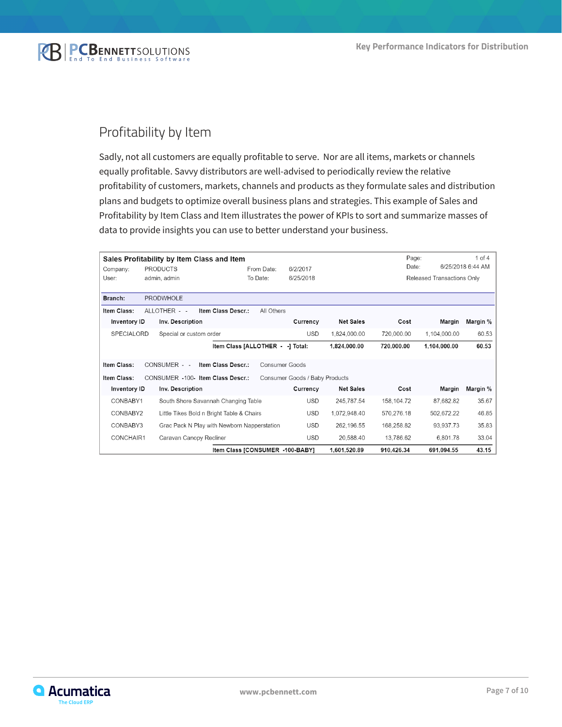

#### Profitability by Item

Sadly, not all customers are equally profitable to serve. Nor are all items, markets or channels equally profitable. Savvy distributors are well-advised to periodically review the relative profitability of customers, markets, channels and products as they formulate sales and distribution plans and budgets to optimize overall business plans and strategies. This example of Sales and Profitability by Item Class and Item illustrates the power of KPIs to sort and summarize masses of data to provide insights you can use to better understand your business.

| $1$ of $4$<br>Page:<br>Sales Profitability by Item Class and Item |                                                                     |                         |                                             |            |                |                  |            |                            |                   |
|-------------------------------------------------------------------|---------------------------------------------------------------------|-------------------------|---------------------------------------------|------------|----------------|------------------|------------|----------------------------|-------------------|
| <b>PRODUCTS</b>                                                   |                                                                     |                         |                                             | From Date: | 6/2/2017       |                  | Date:      |                            | 6/25/2018 6:44 AM |
| Company:                                                          |                                                                     |                         |                                             |            |                |                  |            |                            |                   |
| User:                                                             | admin, admin                                                        |                         |                                             | To Date:   | 6/25/2018      |                  |            | Released Transactions Only |                   |
| Branch:                                                           |                                                                     | <b>PRODWHOLE</b>        |                                             |            |                |                  |            |                            |                   |
| Item Class:                                                       |                                                                     | ALLOTHER - -            | Item Class Descr.:                          | All Others |                |                  |            |                            |                   |
| Inventory ID                                                      |                                                                     | Inv. Description        |                                             |            | Currency       | <b>Net Sales</b> | Cost       | Margin                     | Margin %          |
| <b>SPECIALORD</b>                                                 |                                                                     | Special or custom order |                                             |            | <b>USD</b>     | 1,824,000.00     | 720,000.00 | 1,104,000.00               | 60.53             |
|                                                                   |                                                                     |                         | Item Class [ALLOTHER - -] Total:            |            |                | 1,824,000.00     | 720,000.00 | 1,104,000.00               | 60.53             |
| Item Class:                                                       |                                                                     | CONSUMER - -            | Item Class Descr.:                          |            | Consumer Goods |                  |            |                            |                   |
| Item Class:                                                       | CONSUMER -100- Item Class Descr.:<br>Consumer Goods / Baby Products |                         |                                             |            |                |                  |            |                            |                   |
| Inventory ID                                                      |                                                                     | Inv. Description        |                                             |            | Currency       | <b>Net Sales</b> | Cost       | Margin                     | Margin %          |
| CONBABY1                                                          |                                                                     |                         | South Shore Savannah Changing Table         |            | <b>USD</b>     | 245,787.54       | 158,104.72 | 87,682.82                  | 35.67             |
| CONBABY2                                                          |                                                                     |                         | Little Tikes Bold n Bright Table & Chairs   |            | <b>USD</b>     | 1,072,948.40     | 570,276.18 | 502,672.22                 | 46.85             |
| CONBABY3                                                          |                                                                     |                         | Grac Pack N Play with Newborn Napperstation |            | <b>USD</b>     | 262,196.55       | 168,258.82 | 93,937.73                  | 35.83             |
| CONCHAIR1                                                         |                                                                     | Caravan Canopy Recliner |                                             |            | <b>USD</b>     | 20,588.40        | 13,786.62  | 6,801.78                   | 33.04             |
| Item Class [CONSUMER -100-BABY]                                   |                                                                     |                         |                                             |            |                | 1,601,520.89     | 910,426.34 | 691.094.55                 | 43.15             |

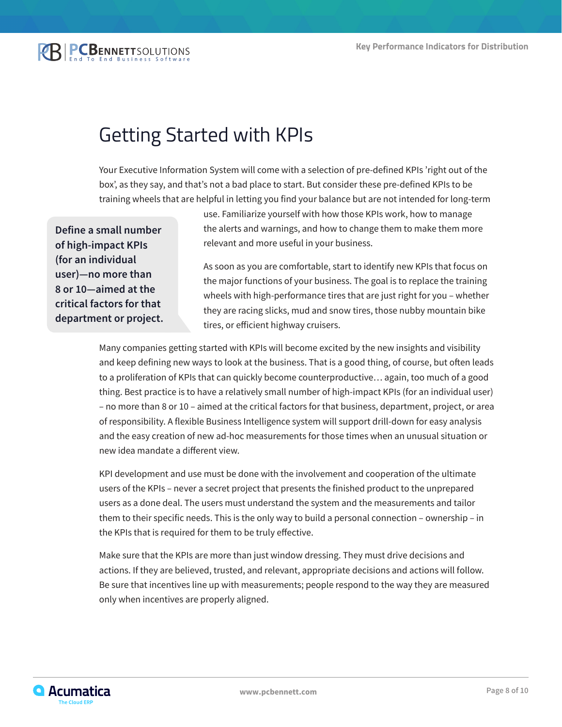**BPCBENNETTSOLUTIONS** 

### Getting Started with KPIs

Your Executive Information System will come with a selection of pre-defined KPIs 'right out of the box', as they say, and that's not a bad place to start. But consider these pre-defined KPIs to be training wheels that are helpful in letting you find your balance but are not intended for long-term

**Define a small number of high-impact KPIs (for an individual user)—no more than 8 or 10—aimed at the critical factors for that department or project.**

use. Familiarize yourself with how those KPIs work, how to manage the alerts and warnings, and how to change them to make them more relevant and more useful in your business.

As soon as you are comfortable, start to identify new KPIs that focus on the major functions of your business. The goal is to replace the training wheels with high-performance tires that are just right for you – whether they are racing slicks, mud and snow tires, those nubby mountain bike tires, or efficient highway cruisers.

Many companies getting started with KPIs will become excited by the new insights and visibility and keep defining new ways to look at the business. That is a good thing, of course, but often leads to a proliferation of KPIs that can quickly become counterproductive… again, too much of a good thing. Best practice is to have a relatively small number of high-impact KPIs (for an individual user) – no more than 8 or 10 – aimed at the critical factors for that business, department, project, or area of responsibility. A flexible Business Intelligence system will support drill-down for easy analysis and the easy creation of new ad-hoc measurements for those times when an unusual situation or new idea mandate a different view.

KPI development and use must be done with the involvement and cooperation of the ultimate users of the KPIs – never a secret project that presents the finished product to the unprepared users as a done deal. The users must understand the system and the measurements and tailor them to their specific needs. This is the only way to build a personal connection – ownership – in the KPIs that is required for them to be truly effective.

Make sure that the KPIs are more than just window dressing. They must drive decisions and actions. If they are believed, trusted, and relevant, appropriate decisions and actions will follow. Be sure that incentives line up with measurements; people respond to the way they are measured only when incentives are properly aligned.

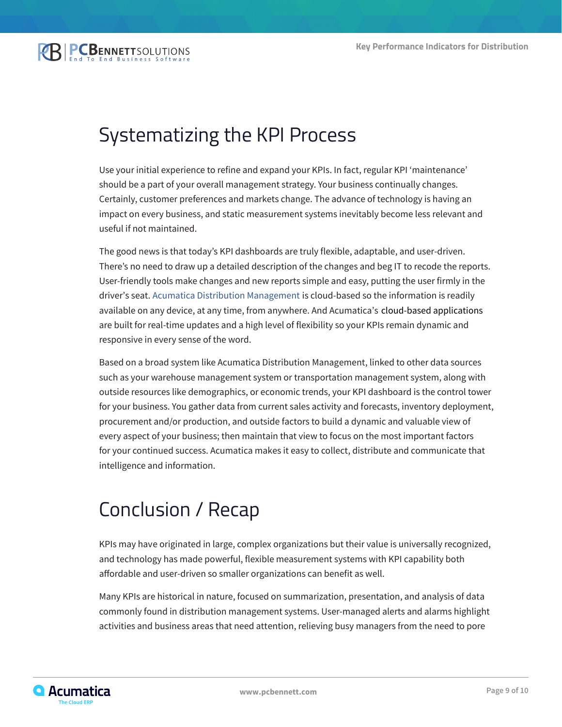### Systematizing the KPI Process

Use your initial experience to refine and expand your KPIs. In fact, regular KPI 'maintenance' should be a part of your overall management strategy. Your business continually changes. Certainly, customer preferences and markets change. The advance of technology is having an impact on every business, and static measurement systems inevitably become less relevant and useful if not maintained.

The good news is that today's KPI dashboards are truly flexible, adaptable, and user-driven. There's no need to draw up a detailed description of the changes and beg IT to recode the reports. User-friendly tools make changes and new reports simple and easy, putting the user firmly in the driver's seat. [Acumatica Distribution Management](https://www.pcbennett.com/acumatica-erp/products/acumatica-cloud-erp-distribution-edition-draft-bwd-2020-05-28/) is cloud-based so the information is readily available on any device, at any time, from anywhere. And Acumatica's cloud-based applications are built for real-time updates and a high level of flexibility so your KPIs remain dynamic and responsive in every sense of the word.

Based on a broad system like Acumatica Distribution Management, linked to other data sources such as your warehouse management system or transportation management system, along with outside resources like demographics, or economic trends, your KPI dashboard is the control tower for your business. You gather data from current sales activity and forecasts, inventory deployment, procurement and/or production, and outside factors to build a dynamic and valuable view of every aspect of your business; then maintain that view to focus on the most important factors for your continued success. Acumatica makes it easy to collect, distribute and communicate that intelligence and information.

### Conclusion / Recap

KPIs may have originated in large, complex organizations but their value is universally recognized, and technology has made powerful, flexible measurement systems with KPI capability both affordable and user-driven so smaller organizations can benefit as well.

Many KPIs are historical in nature, focused on summarization, presentation, and analysis of data commonly found in distribution management systems. User-managed alerts and alarms highlight activities and business areas that need attention, relieving busy managers from the need to pore